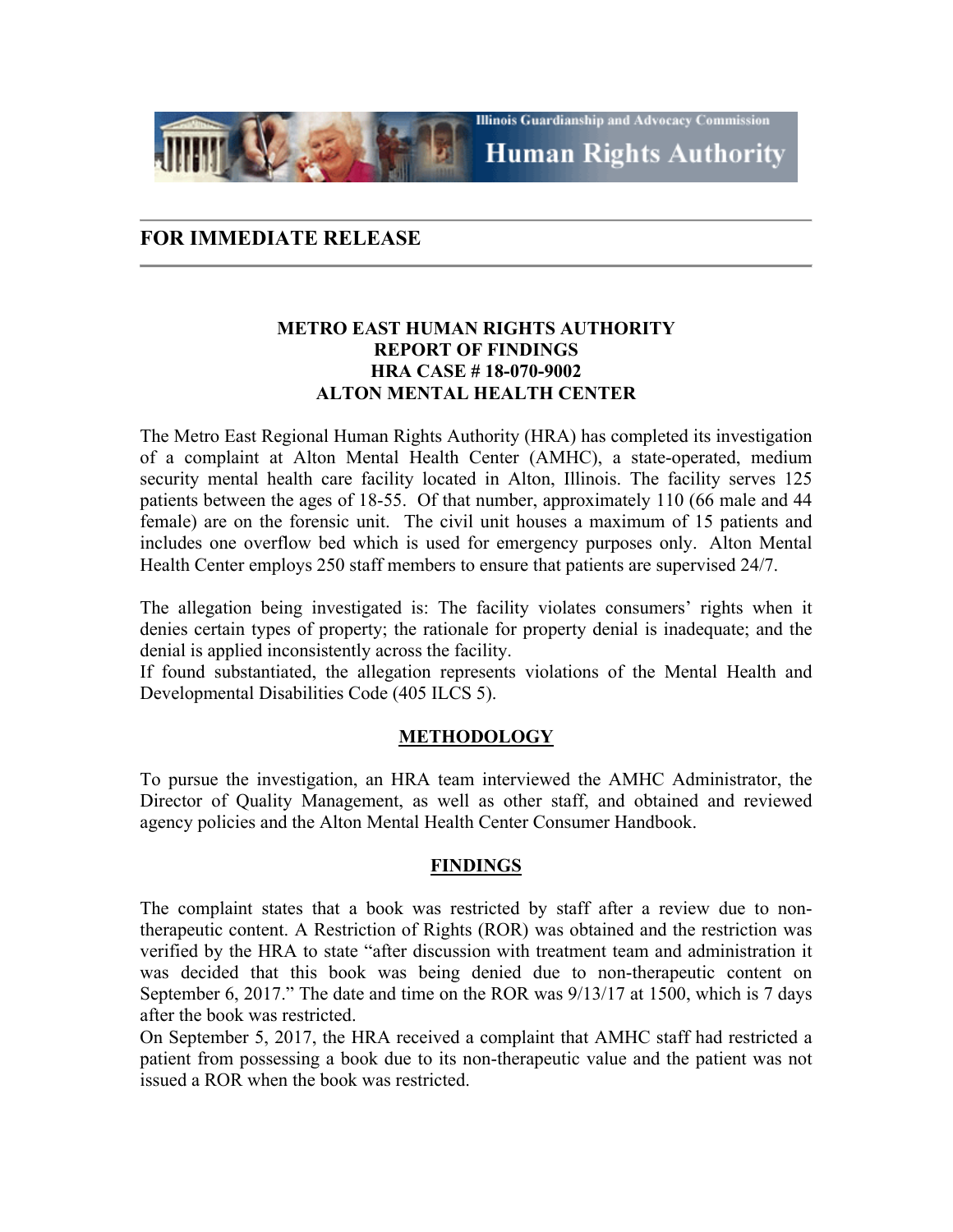**Illinois Guardianship and Advocacy Commission Human Rights Authority** 

# **FOR IMMEDIATE RELEASE**

## **METRO EAST HUMAN RIGHTS AUTHORITY REPORT OF FINDINGS HRA CASE # 18-070-9002 ALTON MENTAL HEALTH CENTER**

The Metro East Regional Human Rights Authority (HRA) has completed its investigation of a complaint at Alton Mental Health Center (AMHC), a state-operated, medium security mental health care facility located in Alton, Illinois. The facility serves 125 patients between the ages of 18-55. Of that number, approximately 110 (66 male and 44 female) are on the forensic unit. The civil unit houses a maximum of 15 patients and includes one overflow bed which is used for emergency purposes only. Alton Mental Health Center employs 250 staff members to ensure that patients are supervised 24/7.

The allegation being investigated is: The facility violates consumers' rights when it denies certain types of property; the rationale for property denial is inadequate; and the denial is applied inconsistently across the facility.

If found substantiated, the allegation represents violations of the Mental Health and Developmental Disabilities Code (405 ILCS 5).

## **METHODOLOGY**

To pursue the investigation, an HRA team interviewed the AMHC Administrator, the Director of Quality Management, as well as other staff, and obtained and reviewed agency policies and the Alton Mental Health Center Consumer Handbook.

## **FINDINGS**

The complaint states that a book was restricted by staff after a review due to nontherapeutic content. A Restriction of Rights (ROR) was obtained and the restriction was verified by the HRA to state "after discussion with treatment team and administration it was decided that this book was being denied due to non-therapeutic content on September 6, 2017." The date and time on the ROR was 9/13/17 at 1500, which is 7 days after the book was restricted.

On September 5, 2017, the HRA received a complaint that AMHC staff had restricted a patient from possessing a book due to its non-therapeutic value and the patient was not issued a ROR when the book was restricted.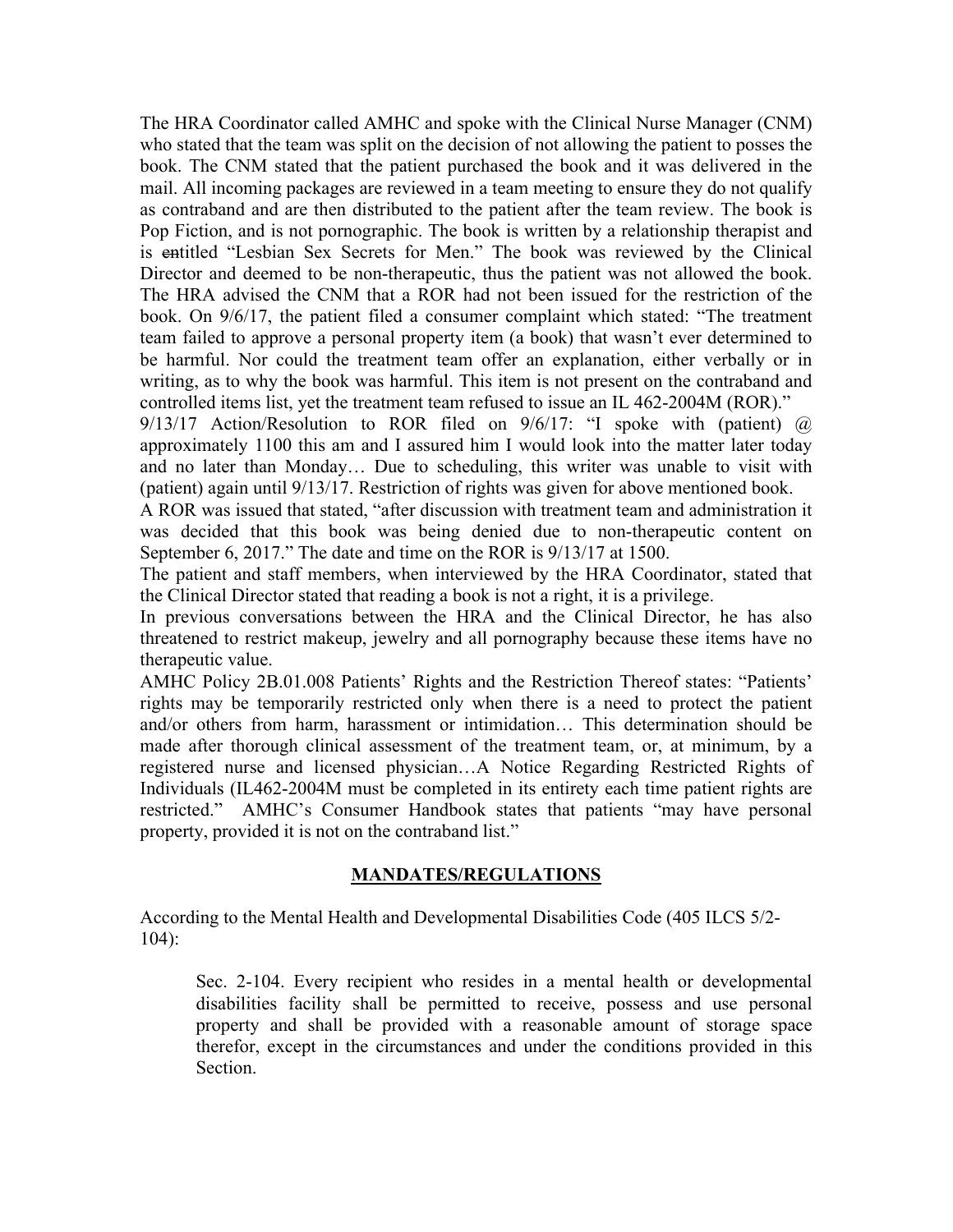The HRA Coordinator called AMHC and spoke with the Clinical Nurse Manager (CNM) who stated that the team was split on the decision of not allowing the patient to posses the book. The CNM stated that the patient purchased the book and it was delivered in the mail. All incoming packages are reviewed in a team meeting to ensure they do not qualify as contraband and are then distributed to the patient after the team review. The book is Pop Fiction, and is not pornographic. The book is written by a relationship therapist and is entitled "Lesbian Sex Secrets for Men." The book was reviewed by the Clinical Director and deemed to be non-therapeutic, thus the patient was not allowed the book. The HRA advised the CNM that a ROR had not been issued for the restriction of the book. On 9/6/17, the patient filed a consumer complaint which stated: "The treatment team failed to approve a personal property item (a book) that wasn't ever determined to be harmful. Nor could the treatment team offer an explanation, either verbally or in writing, as to why the book was harmful. This item is not present on the contraband and controlled items list, yet the treatment team refused to issue an IL 462-2004M (ROR)."

 $9/13/17$  Action/Resolution to ROR filed on  $9/6/17$ : "I spoke with (patient)  $\omega$ approximately 1100 this am and I assured him I would look into the matter later today and no later than Monday… Due to scheduling, this writer was unable to visit with (patient) again until 9/13/17. Restriction of rights was given for above mentioned book.

A ROR was issued that stated, "after discussion with treatment team and administration it was decided that this book was being denied due to non-therapeutic content on September 6, 2017." The date and time on the ROR is 9/13/17 at 1500.

The patient and staff members, when interviewed by the HRA Coordinator, stated that the Clinical Director stated that reading a book is not a right, it is a privilege.

In previous conversations between the HRA and the Clinical Director, he has also threatened to restrict makeup, jewelry and all pornography because these items have no therapeutic value.

AMHC Policy 2B.01.008 Patients' Rights and the Restriction Thereof states: "Patients' rights may be temporarily restricted only when there is a need to protect the patient and/or others from harm, harassment or intimidation… This determination should be made after thorough clinical assessment of the treatment team, or, at minimum, by a registered nurse and licensed physician…A Notice Regarding Restricted Rights of Individuals (IL462-2004M must be completed in its entirety each time patient rights are restricted." AMHC's Consumer Handbook states that patients "may have personal property, provided it is not on the contraband list."

## **MANDATES/REGULATIONS**

According to the Mental Health and Developmental Disabilities Code (405 ILCS 5/2- 104):

Sec. 2-104. Every recipient who resides in a mental health or developmental disabilities facility shall be permitted to receive, possess and use personal property and shall be provided with a reasonable amount of storage space therefor, except in the circumstances and under the conditions provided in this Section.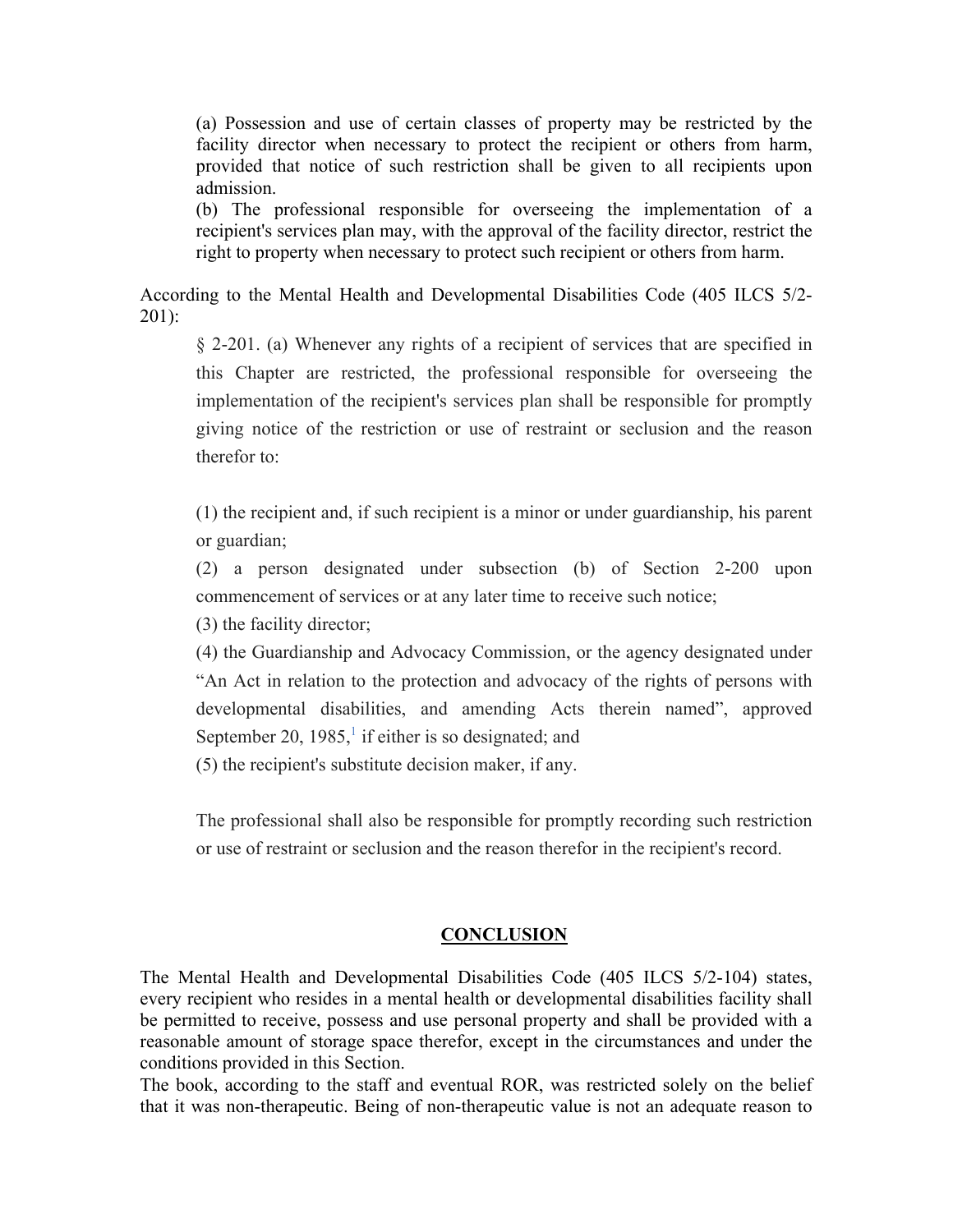(a) Possession and use of certain classes of property may be restricted by the facility director when necessary to protect the recipient or others from harm, provided that notice of such restriction shall be given to all recipients upon admission.

(b) The professional responsible for overseeing the implementation of a recipient's services plan may, with the approval of the facility director, restrict the right to property when necessary to protect such recipient or others from harm.

According to the Mental Health and Developmental Disabilities Code (405 ILCS 5/2- 201):

§ 2-201. (a) Whenever any rights of a recipient of services that are specified in this Chapter are restricted, the professional responsible for overseeing the implementation of the recipient's services plan shall be responsible for promptly giving notice of the restriction or use of restraint or seclusion and the reason therefor to:

(1) the recipient and, if such recipient is a minor or under guardianship, his parent or guardian;

(2) a person designated under subsection (b) of Section 2-200 upon commencement of services or at any later time to receive such notice;

(3) the facility director;

(4) the Guardianship and Advocacy Commission, or the agency designated under "An Act in relation to the protection and advocacy of the rights of persons with developmental disabilities, and amending Acts therein named", approved September 20, 1985, $\frac{1}{1}$  if either is so designated; and

(5) the recipient's substitute decision maker, if any.

The professional shall also be responsible for promptly recording such restriction or use of restraint or seclusion and the reason therefor in the recipient's record.

#### **CONCLUSION**

The Mental Health and Developmental Disabilities Code (405 ILCS 5/2-104) states, every recipient who resides in a mental health or developmental disabilities facility shall be permitted to receive, possess and use personal property and shall be provided with a reasonable amount of storage space therefor, except in the circumstances and under the conditions provided in this Section.

The book, according to the staff and eventual ROR, was restricted solely on the belief that it was non-therapeutic. Being of non-therapeutic value is not an adequate reason to